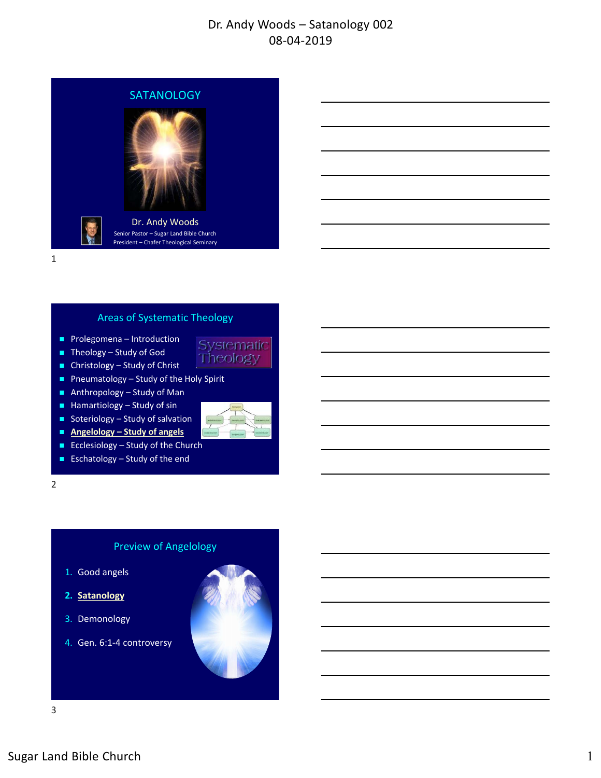

1

#### Areas of Systematic Theology

- **Prolegomena Introduction**
- Theology Study of God
- $\blacksquare$  Christology Study of Christ
- Pneumatology Study of the Holy Spirit
- Anthropology Study of Man
- $H$ amartiology Study of sin
- Soteriology Study of salvation
- **Angelology Study of angels**
- Ecclesiology Study of the Church
- **Eschatology Study of the end**

2

#### Preview of Angelology

- 1. Good angels
- **2. Satanology**
- 3. Demonology
- 4. Gen. 6:1‐4 controversy



Systematic Theology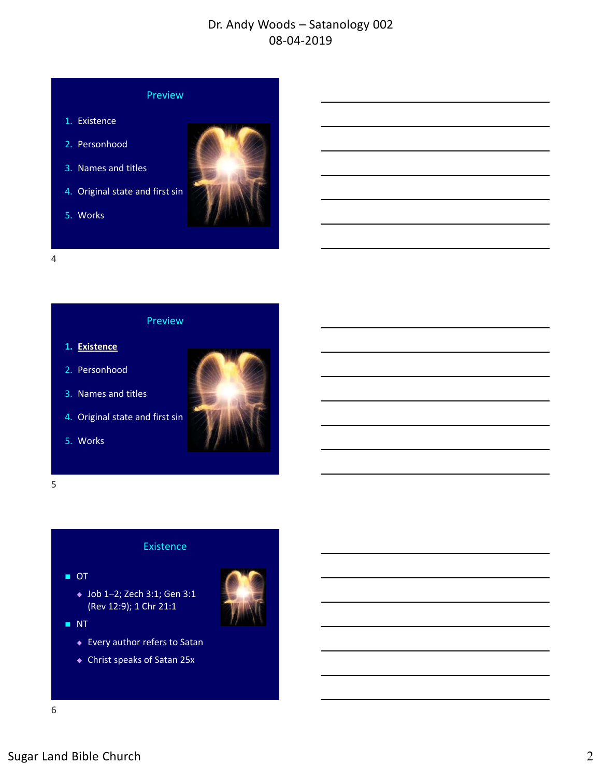

- 1. Existence
- 2. Personhood
- 3. Names and titles
- 4. Original state and first sin





4

#### Preview

- **1. Existence**
- 2. Personhood
- 3. Names and titles
- 4. Original state and first sin
- 5. Works



5

#### Existence

■ OT



- NT
	- Every author refers to Satan
	- Christ speaks of Satan 25x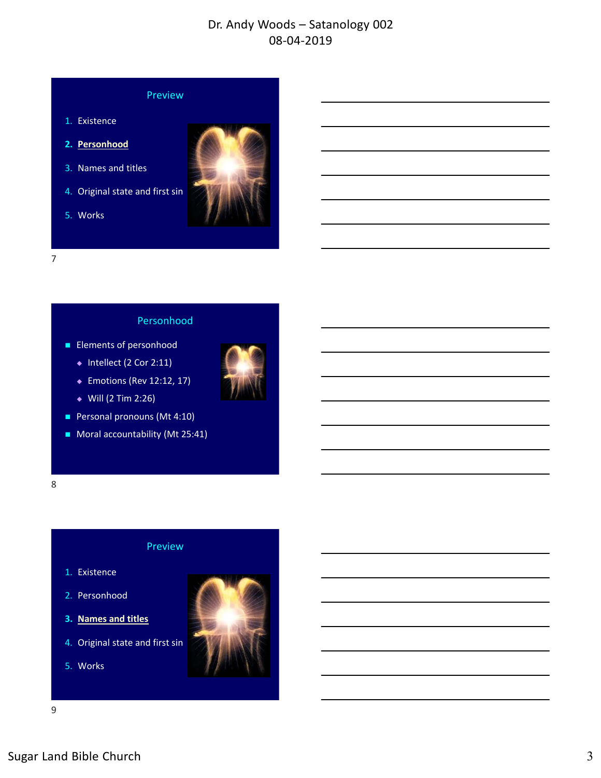### Preview

- 1. Existence
- **2. Personhood**
- 3. Names and titles
- 4. Original state and first sin
- 5. Works



7

#### Personhood

- **Elements of personhood** 
	- $\bullet$  Intellect (2 Cor 2:11)
	- ◆ Emotions (Rev 12:12, 17)
	- $Will (2 Tim 2:26)$
- Personal pronouns (Mt 4:10)
- Moral accountability (Mt 25:41)



### Preview

- 1. Existence
- 2. Personhood
- **3. Names and titles**
- 4. Original state and first sin
- 5. Works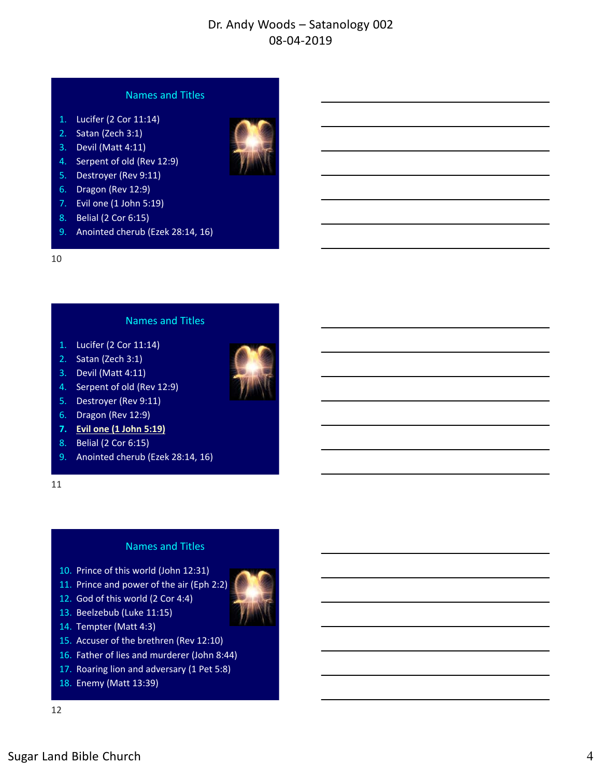### Names and Titles

- 1. Lucifer (2 Cor 11:14)
- 2. Satan (Zech 3:1)
- 3. Devil (Matt 4:11)
- 4. Serpent of old (Rev 12:9)
- 5. Destroyer (Rev 9:11)
- 6. Dragon (Rev 12:9)
- 7. Evil one (1 John 5:19)
- 8. Belial (2 Cor 6:15)
- 9. Anointed cherub (Ezek 28:14, 16)

#### 10

#### Names and Titles

- 1. Lucifer (2 Cor 11:14)
- 2. Satan (Zech 3:1)
- 3. Devil (Matt 4:11)
- 4. Serpent of old (Rev 12:9)
- 5. Destroyer (Rev 9:11)
- 6. Dragon (Rev 12:9)
- **7. Evil one (1 John 5:19)**
- 8. Belial (2 Cor 6:15)
- 9. Anointed cherub (Ezek 28:14, 16)

11

#### Names and Titles

- 10. Prince of this world (John 12:31)
- 11. Prince and power of the air (Eph 2:2)
- 12. God of this world (2 Cor 4:4)
- 13. Beelzebub (Luke 11:15)
- 14. Tempter (Matt 4:3)
- 15. Accuser of the brethren (Rev 12:10)
- 16. Father of lies and murderer (John 8:44)
- 17. Roaring lion and adversary (1 Pet 5:8)
- 18. Enemy (Matt 13:39)



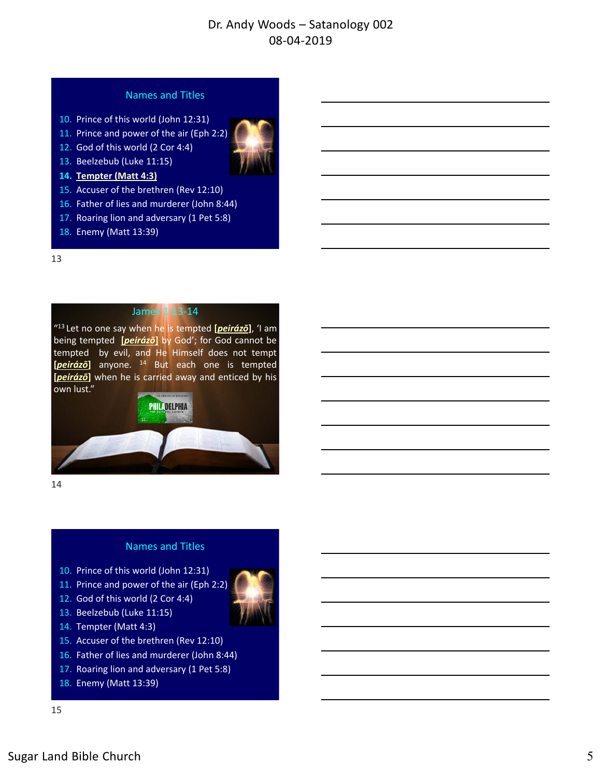### Names and Titles

- 10. Prince of this world (John 12:31)
- 11. Prince and power of the air (Eph 2:2)
- 12. God of this world (2 Cor 4:4)



- **14. Tempter (Matt 4:3)**
- 15. Accuser of the brethren (Rev 12:10)
- 16. Father of lies and murderer (John 8:44)
- 17. Roaring lion and adversary (1 Pet 5:8)
- 18. Enemy (Matt 13:39)

#### 13

#### James 1:13‐14

"13 Let no one say when he is tempted **[***peirázō***]**, 'I am being tempted **[***peirázō***]** by God'; for God cannot be tempted by evil, and He Himself does not tempt **[***peirázō***]** anyone. <sup>14</sup> But each one is tempted **[***peirázō***]** when he is carried away and enticed by his own lust."



14

#### Names and Titles

- 10. Prince of this world (John 12:31)
- 11. Prince and power of the air (Eph 2:2)
- 12. God of this world (2 Cor 4:4)
- 13. Beelzebub (Luke 11:15)
- 14. Tempter (Matt 4:3)
- 15. Accuser of the brethren (Rev 12:10)
- 16. Father of lies and murderer (John 8:44)
- 17. Roaring lion and adversary (1 Pet 5:8)
- 18. Enemy (Matt 13:39)

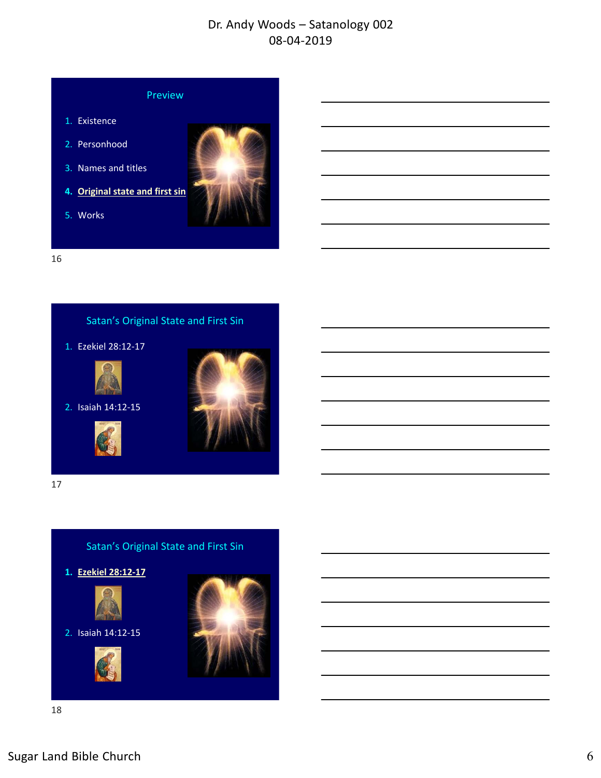

16



17

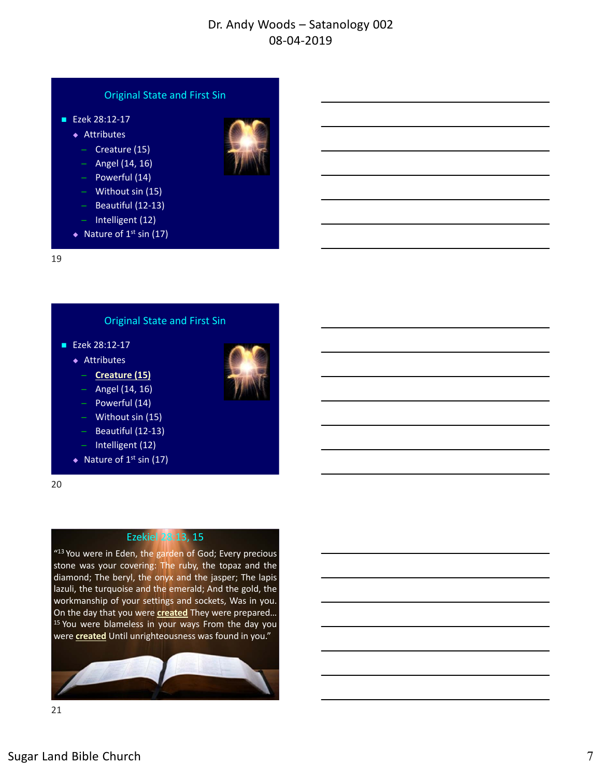### Original State and First Sin

- Ezek 28:12-17
	- ◆ Attributes
		- ̶ Creature (15)
		- $-$  Angel (14, 16)
		- ̶ Powerful (14)
		- ̶ Without sin (15)
		- ̶ Beautiful (12‐13)
		- ̶ Intelligent (12)
	- $\triangleleft$  Nature of 1<sup>st</sup> sin (17)



#### Original State and First Sin

- Ezek 28:12-17
	- ◆ Attributes
		- ̶ **Creature (15)**
		- $-$  Angel (14, 16)
		- ̶ Powerful (14)
		- ̶ Without sin (15)
		- ̶ Beautiful (12‐13)
		- ̶ Intelligent (12)
	- $\triangleleft$  Nature of 1<sup>st</sup> sin (17)

20

21

### Ezekiel 28:13, 15

"<sup>13</sup> You were in Eden, the garden of God; Every precious stone was your covering: The ruby, the topaz and the diamond; The beryl, the onyx and the jasper; The lapis lazuli, the turquoise and the emerald; And the gold, the workmanship of your settings and sockets, Was in you. On the day that you were **created** They were prepared… <sup>15</sup> You were blameless in your ways From the day you were **created** Until unrighteousness was found in you."



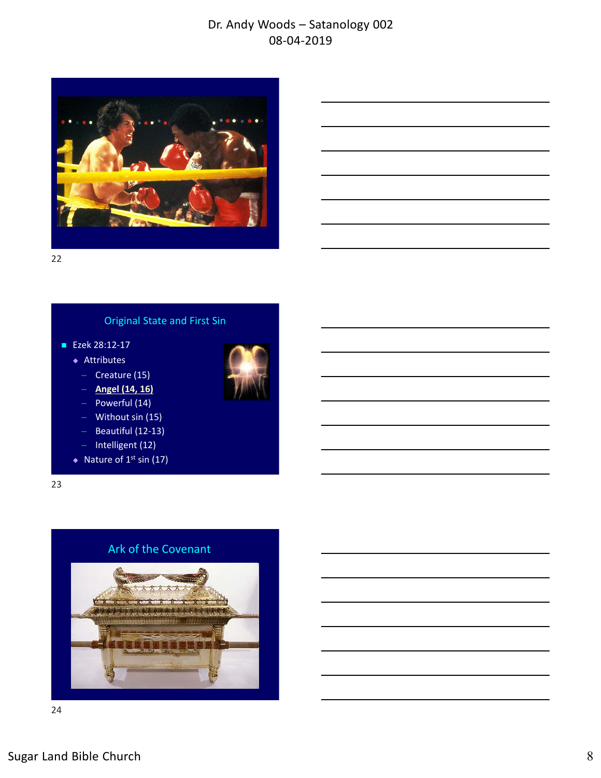

22

# Original State and First Sin

- Ezek 28:12-17
	- ◆ Attributes
		- ̶ Creature (15)
		- ̶ **Angel (14, 16)**
		- ̶ Powerful (14)
		- ̶ Without sin (15)
		- ̶ Beautiful (12‐13)
		- ̶ Intelligent (12)
	- $\triangleleft$  Nature of 1<sup>st</sup> sin (17)

23

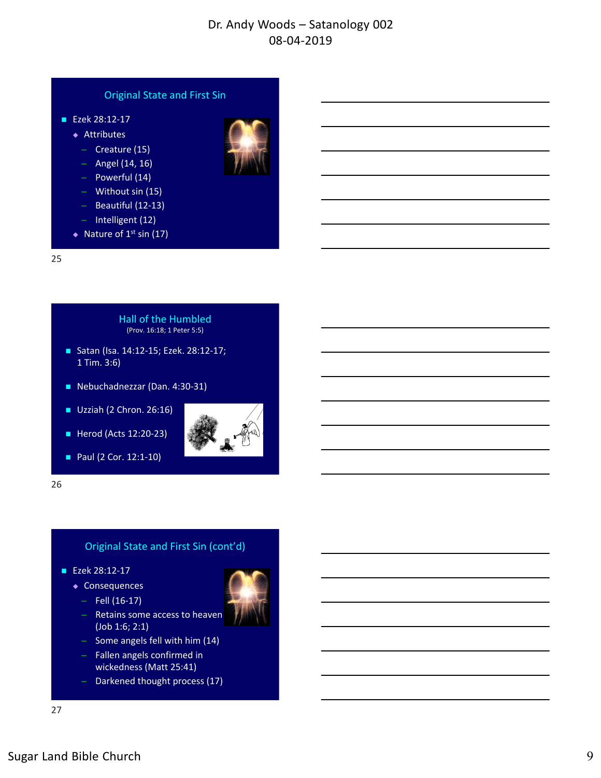# ■ Ezek 28:12-17 ◆ Attributes ̶ Creature (15)  $-$  Angel (14, 16) ̶ Powerful (14) Original State and First Sin

- ̶ Without sin (15)
- ̶ Beautiful (12‐13)
- ̶ Intelligent (12)
- $\triangleleft$  Nature of 1<sup>st</sup> sin (17)

25

Hall of the Humbled (Prov. 16:18; 1 Peter 5:5)

- Satan (Isa. 14:12-15; Ezek. 28:12-17; 1 Tim. 3:6)
- Nebuchadnezzar (Dan. 4:30-31)
- $\blacksquare$  Uzziah (2 Chron. 26:16)
- Herod (Acts 12:20-23)

■ Paul (2 Cor. 12:1-10)



26

### Original State and First Sin (cont'd)

- Ezek 28:12-17
	- ◆ Consequences
	- $-$  Fell (16-17)
	- ̶ Retains some access to heaven (Job 1:6; 2:1)
	- ̶ Some angels fell with him (14)
	- ̶ Fallen angels confirmed in wickedness (Matt 25:41)
	- ̶ Darkened thought process (17)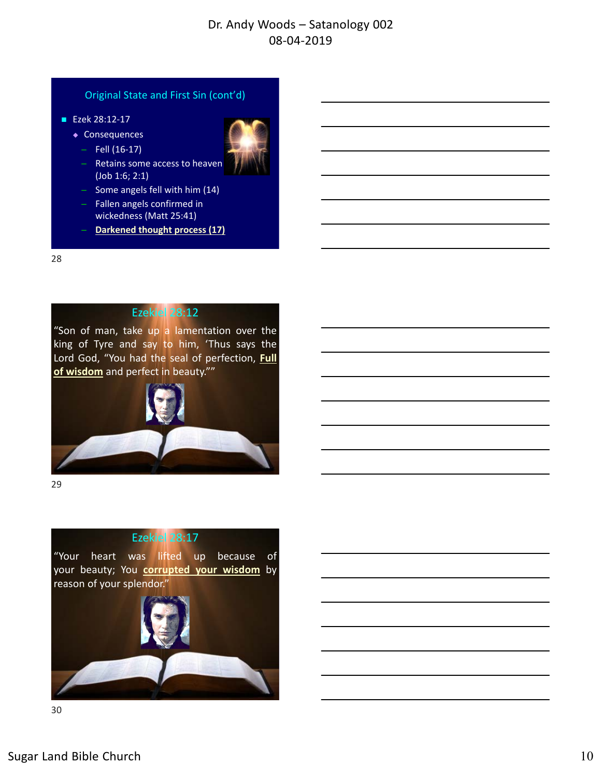#### Original State and First Sin (cont'd)

- Ezek 28:12-17
	- ◆ Consequences
		- $-$  Fell (16-17)



- Retains some access to heaven (Job 1:6; 2:1)
- ̶ Some angels fell with him (14) ̶ Fallen angels confirmed in
- wickedness (Matt 25:41)
- ̶ **Darkened thought process (17)**

28

### Ezekiel 28:12

"Son of man, take up a lamentation over the king of Tyre and say to him, 'Thus says the Lord God, "You had the seal of perfection, **Full of wisdom** and perfect in beauty.""



29

# Ezekiel 28:17

"Your heart was lifted up because of your beauty; You **corrupted your wisdom** by reason of your splendor."

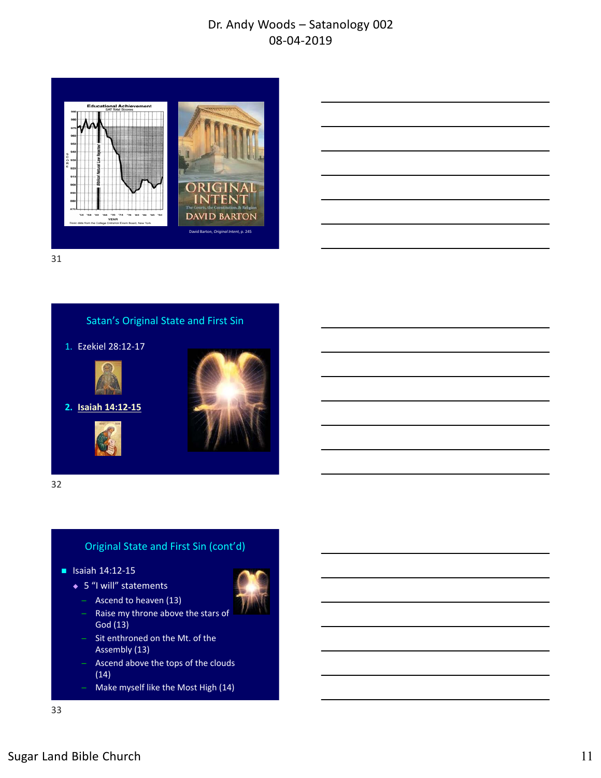

| <u> 1989 - Johann Barnett, fransk politiker (d. 1989)</u>                                                             |  |  |
|-----------------------------------------------------------------------------------------------------------------------|--|--|
|                                                                                                                       |  |  |
|                                                                                                                       |  |  |
| <u> 1989 - Johann Stein, marwolaethau a chwaraeth a chwaraeth a chwaraeth a chwaraeth a chwaraeth a chwaraeth a c</u> |  |  |
|                                                                                                                       |  |  |
| <u> 1989 - Andrea Santa Andrea Andrea Andrea Andrea Andrea Andrea Andrea Andrea Andrea Andrea Andrea Andrea Andr</u>  |  |  |
|                                                                                                                       |  |  |
|                                                                                                                       |  |  |
| <u> 1989 - Johann Stoff, deutscher Stoff, der Stoff, der Stoff, der Stoff, der Stoff, der Stoff, der Stoff, der S</u> |  |  |
|                                                                                                                       |  |  |
|                                                                                                                       |  |  |
|                                                                                                                       |  |  |
|                                                                                                                       |  |  |

31



32



#### ■ Isaiah 14:12-15

- ◆ 5 "I will" statements
	- ̶ Ascend to heaven (13)
	- Raise my throne above the stars of God (13)
	- ̶ Sit enthroned on the Mt. of the Assembly (13)
	- ̶ Ascend above the tops of the clouds (14)
	- ̶ Make myself like the Most High (14)